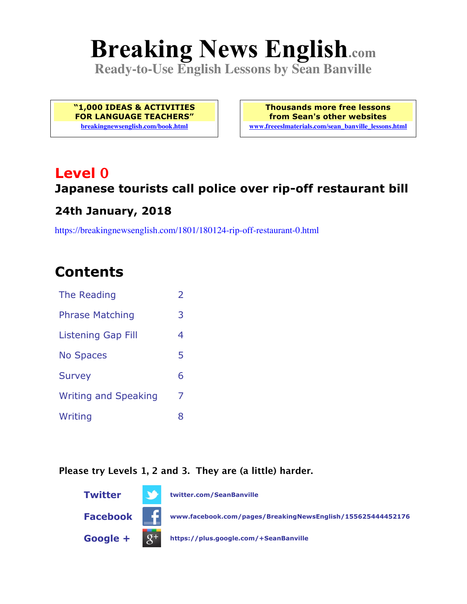# **Breaking News English.com**

**Ready-to-Use English Lessons by Sean Banville**

**"1,000 IDEAS & ACTIVITIES FOR LANGUAGE TEACHERS" breakingnewsenglish.com/book.html**

**Thousands more free lessons from Sean's other websites www.freeeslmaterials.com/sean\_banville\_lessons.html**

### **Level 0 Japanese tourists call police over rip-off restaurant bill**

### **24th January, 2018**

https://breakingnewsenglish.com/1801/180124-rip-off-restaurant-0.html

### **Contents**

| The Reading                 |   |
|-----------------------------|---|
| <b>Phrase Matching</b>      | 3 |
| Listening Gap Fill          | 4 |
| <b>No Spaces</b>            | 5 |
| <b>Survey</b>               | 6 |
| <b>Writing and Speaking</b> | 7 |
| Writing                     | 8 |

#### **Please try Levels 1, 2 and 3. They are (a little) harder.**

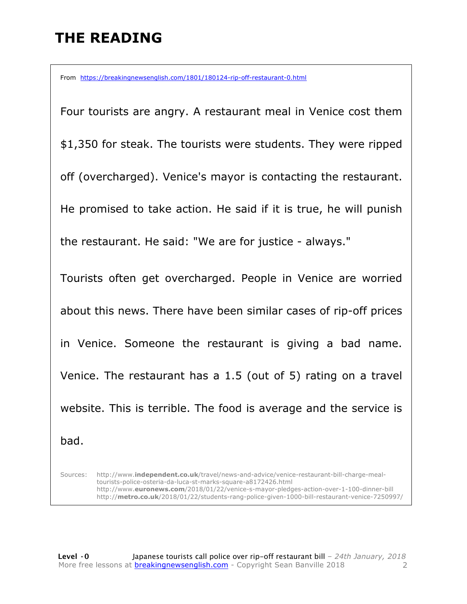### **THE READING**

From https://breakingnewsenglish.com/1801/180124-rip-off-restaurant-0.html

Four tourists are angry. A restaurant meal in Venice cost them \$1,350 for steak. The tourists were students. They were ripped off (overcharged). Venice's mayor is contacting the restaurant. He promised to take action. He said if it is true, he will punish the restaurant. He said: "We are for justice - always." Tourists often get overcharged. People in Venice are worried about this news. There have been similar cases of rip-off prices in Venice. Someone the restaurant is giving a bad name. Venice. The restaurant has a 1.5 (out of 5) rating on a travel website. This is terrible. The food is average and the service is bad.

Sources: http://www.**independent.co.uk**/travel/news-and-advice/venice-restaurant-bill-charge-mealtourists-police-osteria-da-luca-st-marks-square-a8172426.html http://www.**euronews.com**/2018/01/22/venice-s-mayor-pledges-action-over-1-100-dinner-bill http://**metro.co.uk**/2018/01/22/students-rang-police-given-1000-bill-restaurant-venice-7250997/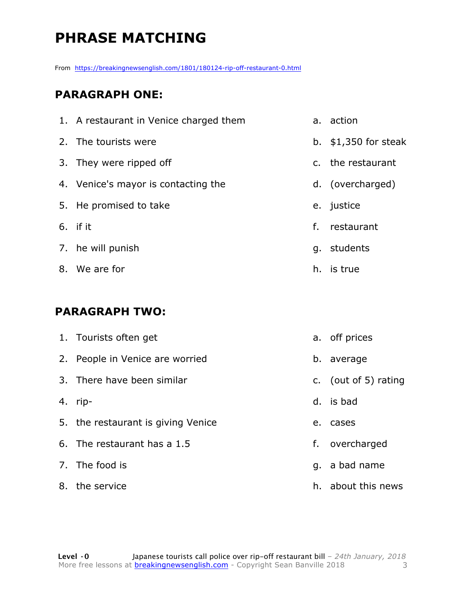### **PHRASE MATCHING**

From https://breakingnewsenglish.com/1801/180124-rip-off-restaurant-0.html

#### **PARAGRAPH ONE:**

| 1. A restaurant in Venice charged them |    | a. action             |
|----------------------------------------|----|-----------------------|
| 2. The tourists were                   |    | b. $$1,350$ for steak |
| 3. They were ripped off                |    | c. the restaurant     |
| 4. Venice's mayor is contacting the    |    | d. (overcharged)      |
| 5. He promised to take                 |    | e. justice            |
| 6. if it                               | f. | restaurant            |
| 7. he will punish                      |    | g. students           |
| 8. We are for                          |    | h. is true            |

#### **PARAGRAPH TWO:**

| 1. Tourists often get              | a. off prices        |
|------------------------------------|----------------------|
| 2. People in Venice are worried    | b. average           |
| 3. There have been similar         | c. (out of 5) rating |
| 4. rip-                            | d. is bad            |
| 5. the restaurant is giving Venice | e. cases             |
| 6. The restaurant has a 1.5        | f. overcharged       |
| 7. The food is                     | q. a bad name        |
| 8. the service                     | h. about this news   |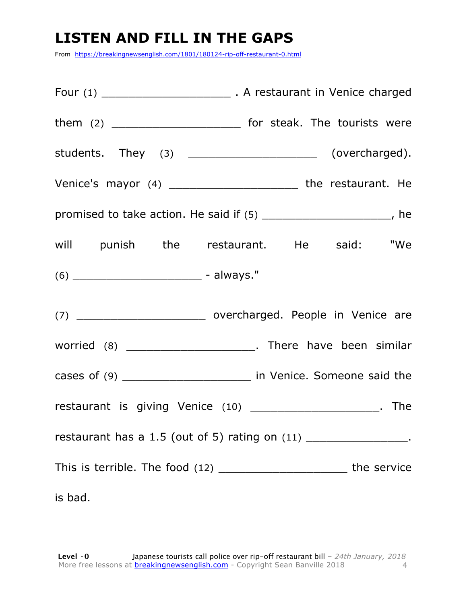### **LISTEN AND FILL IN THE GAPS**

From https://breakingnewsenglish.com/1801/180124-rip-off-restaurant-0.html

| students. They (3) ________________________ (overcharged).                  |  |
|-----------------------------------------------------------------------------|--|
| Venice's mayor (4) __________________________ the restaurant. He            |  |
| promised to take action. He said if (5) ________________________, he        |  |
| will punish the restaurant. He said: "We                                    |  |
| $(6)$ __________________________________ - always."                         |  |
| (7) __________________________________ overcharged. People in Venice are    |  |
| worried (8) _________________________. There have been similar              |  |
| cases of (9) __________________________ in Venice. Someone said the         |  |
| restaurant is giving Venice (10) _______________________. The               |  |
| restaurant has a 1.5 (out of 5) rating on $(11)$ ___________________.       |  |
| This is terrible. The food (12) ________________________________the service |  |
| is bad.                                                                     |  |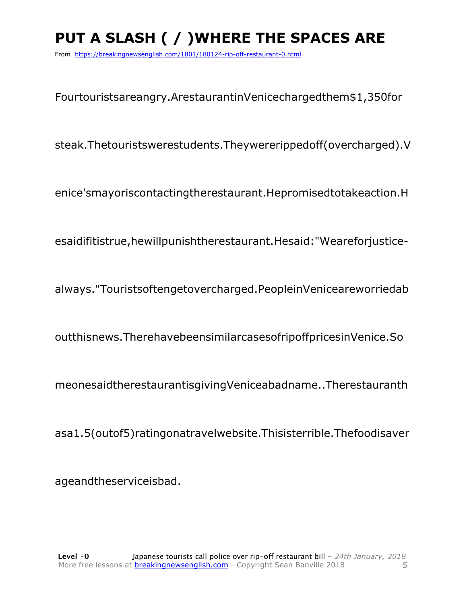## **PUT A SLASH ( / )WHERE THE SPACES ARE**

From https://breakingnewsenglish.com/1801/180124-rip-off-restaurant-0.html

Fourtouristsareangry.ArestaurantinVenicechargedthem\$1,350for

steak.Thetouristswerestudents.Theywererippedoff(overcharged).V

enice'smayoriscontactingtherestaurant.Hepromisedtotakeaction.H

esaidifitistrue,hewillpunishtherestaurant.Hesaid:"Weareforjustice-

always."Touristsoftengetovercharged.PeopleinVeniceareworriedab

outthisnews.TherehavebeensimilarcasesofripoffpricesinVenice.So

meonesaidtherestaurantisgivingVeniceabadname..Therestauranth

asa1.5(outof5)ratingonatravelwebsite.Thisisterrible.Thefoodisaver

ageandtheserviceisbad.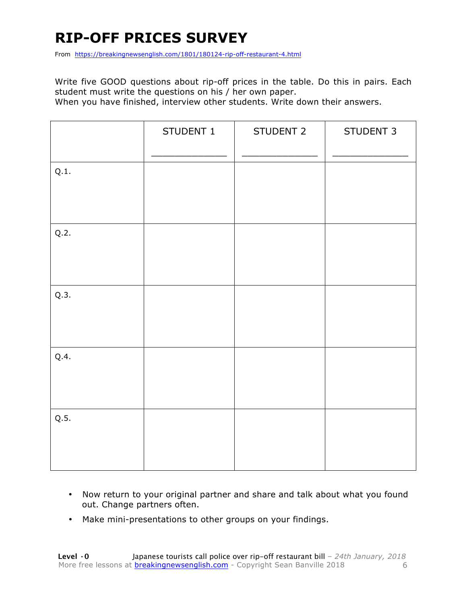### **RIP-OFF PRICES SURVEY**

From https://breakingnewsenglish.com/1801/180124-rip-off-restaurant-4.html

Write five GOOD questions about rip-off prices in the table. Do this in pairs. Each student must write the questions on his / her own paper.

When you have finished, interview other students. Write down their answers.

|      | STUDENT 1 | STUDENT 2 | STUDENT 3 |
|------|-----------|-----------|-----------|
| Q.1. |           |           |           |
| Q.2. |           |           |           |
| Q.3. |           |           |           |
| Q.4. |           |           |           |
| Q.5. |           |           |           |

- Now return to your original partner and share and talk about what you found out. Change partners often.
- Make mini-presentations to other groups on your findings.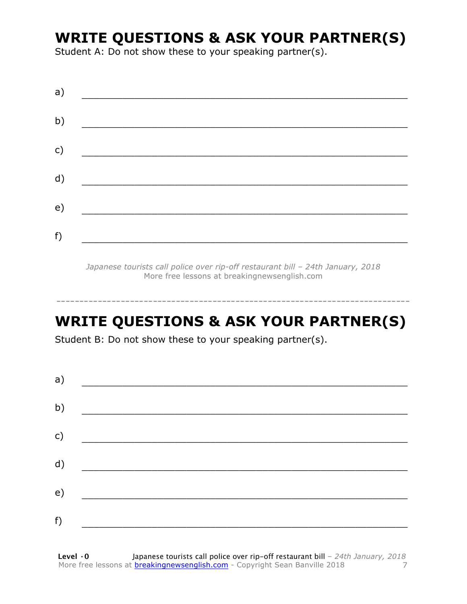### **WRITE QUESTIONS & ASK YOUR PARTNER(S)**

Student A: Do not show these to your speaking partner(s).

| a) |  |  |
|----|--|--|
| b) |  |  |
| c) |  |  |
| d) |  |  |
| e) |  |  |
| f) |  |  |
|    |  |  |

*Japanese tourists call police over rip-off restaurant bill – 24th January, 2018* More free lessons at breakingnewsenglish.com

-----------------------------------------------------------------------------

### **WRITE QUESTIONS & ASK YOUR PARTNER(S)**

Student B: Do not show these to your speaking partner(s).

| a) |  |  |
|----|--|--|
| b) |  |  |
| c) |  |  |
| d) |  |  |
| e) |  |  |
| f) |  |  |
|    |  |  |

**Level ·0** Japanese tourists call police over rip-off restaurant bill *– 24th January, 2018* More free lessons at **breakingnewsenglish.com** - Copyright Sean Banville 2018 7